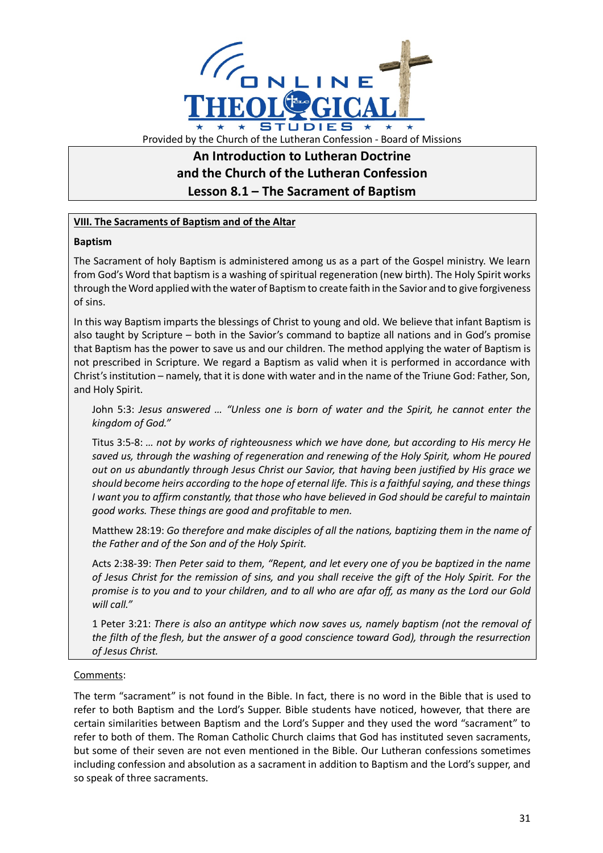

# **An Introduction to Lutheran Doctrine and the Church of the Lutheran Confession Lesson 8.1 – The Sacrament of Baptism**

## **VIII. The Sacraments of Baptism and of the Altar**

### **Baptism**

The Sacrament of holy Baptism is administered among us as a part of the Gospel ministry. We learn from God's Word that baptism is a washing of spiritual regeneration (new birth). The Holy Spirit works through the Word applied with the water of Baptism to create faith in the Savior and to give forgiveness of sins.

In this way Baptism imparts the blessings of Christ to young and old. We believe that infant Baptism is also taught by Scripture – both in the Savior's command to baptize all nations and in God's promise that Baptism has the power to save us and our children. The method applying the water of Baptism is not prescribed in Scripture. We regard a Baptism as valid when it is performed in accordance with Christ's institution – namely, that it is done with water and in the name of the Triune God: Father, Son, and Holy Spirit.

John 5:3: *Jesus answered … "Unless one is born of water and the Spirit, he cannot enter the kingdom of God."*

Titus 3:5-8: *… not by works of righteousness which we have done, but according to His mercy He saved us, through the washing of regeneration and renewing of the Holy Spirit, whom He poured out on us abundantly through Jesus Christ our Savior, that having been justified by His grace we should become heirs according to the hope of eternal life. This is a faithful saying, and these things I want you to affirm constantly, that those who have believed in God should be careful to maintain good works. These things are good and profitable to men.*

Matthew 28:19: *Go therefore and make disciples of all the nations, baptizing them in the name of the Father and of the Son and of the Holy Spirit.*

Acts 2:38-39: *Then Peter said to them, "Repent, and let every one of you be baptized in the name of Jesus Christ for the remission of sins, and you shall receive the gift of the Holy Spirit. For the promise is to you and to your children, and to all who are afar off, as many as the Lord our Gold will call."*

1 Peter 3:21: *There is also an antitype which now saves us, namely baptism (not the removal of the filth of the flesh, but the answer of a good conscience toward God), through the resurrection of Jesus Christ.*

### Comments:

The term "sacrament" is not found in the Bible. In fact, there is no word in the Bible that is used to refer to both Baptism and the Lord's Supper. Bible students have noticed, however, that there are certain similarities between Baptism and the Lord's Supper and they used the word "sacrament" to refer to both of them. The Roman Catholic Church claims that God has instituted seven sacraments, but some of their seven are not even mentioned in the Bible. Our Lutheran confessions sometimes including confession and absolution as a sacrament in addition to Baptism and the Lord's supper, and so speak of three sacraments.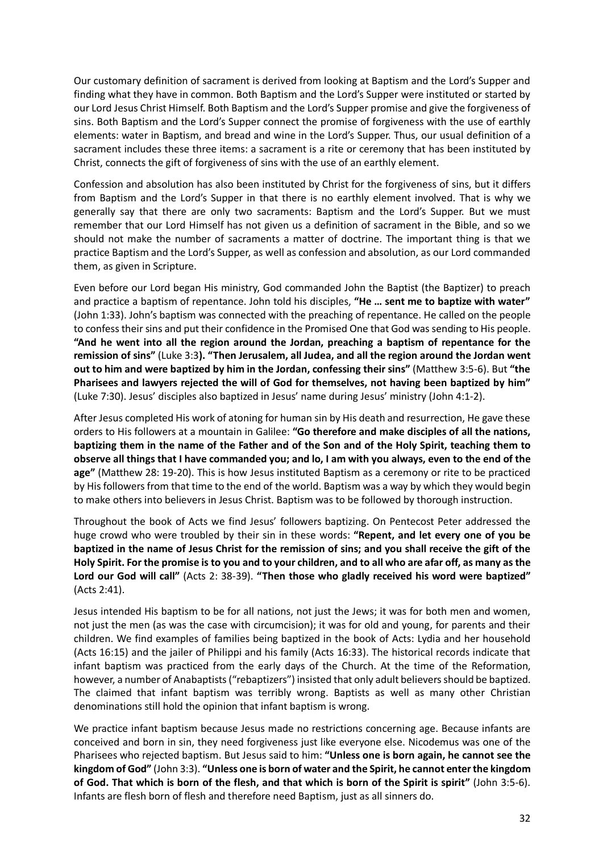Our customary definition of sacrament is derived from looking at Baptism and the Lord's Supper and finding what they have in common. Both Baptism and the Lord's Supper were instituted or started by our Lord Jesus Christ Himself. Both Baptism and the Lord's Supper promise and give the forgiveness of sins. Both Baptism and the Lord's Supper connect the promise of forgiveness with the use of earthly elements: water in Baptism, and bread and wine in the Lord's Supper. Thus, our usual definition of a sacrament includes these three items: a sacrament is a rite or ceremony that has been instituted by Christ, connects the gift of forgiveness of sins with the use of an earthly element.

Confession and absolution has also been instituted by Christ for the forgiveness of sins, but it differs from Baptism and the Lord's Supper in that there is no earthly element involved. That is why we generally say that there are only two sacraments: Baptism and the Lord's Supper. But we must remember that our Lord Himself has not given us a definition of sacrament in the Bible, and so we should not make the number of sacraments a matter of doctrine. The important thing is that we practice Baptism and the Lord's Supper, as well as confession and absolution, as our Lord commanded them, as given in Scripture.

Even before our Lord began His ministry, God commanded John the Baptist (the Baptizer) to preach and practice a baptism of repentance. John told his disciples, **"He … sent me to baptize with water"** (John 1:33). John's baptism was connected with the preaching of repentance. He called on the people to confess their sins and put their confidence in the Promised One that God was sending to His people. **"And he went into all the region around the Jordan, preaching a baptism of repentance for the remission of sins"** (Luke 3:3**). "Then Jerusalem, all Judea, and all the region around the Jordan went out to him and were baptized by him in the Jordan, confessing their sins"** (Matthew 3:5-6). But **"the Pharisees and lawyers rejected the will of God for themselves, not having been baptized by him"** (Luke 7:30). Jesus' disciples also baptized in Jesus' name during Jesus' ministry (John 4:1-2).

After Jesus completed His work of atoning for human sin by His death and resurrection, He gave these orders to His followers at a mountain in Galilee: **"Go therefore and make disciples of all the nations, baptizing them in the name of the Father and of the Son and of the Holy Spirit, teaching them to observe all things that I have commanded you; and lo, I am with you always, even to the end of the age"** (Matthew 28: 19-20). This is how Jesus instituted Baptism as a ceremony or rite to be practiced by His followers from that time to the end of the world. Baptism was a way by which they would begin to make others into believers in Jesus Christ. Baptism was to be followed by thorough instruction.

Throughout the book of Acts we find Jesus' followers baptizing. On Pentecost Peter addressed the huge crowd who were troubled by their sin in these words: **"Repent, and let every one of you be baptized in the name of Jesus Christ for the remission of sins; and you shall receive the gift of the Holy Spirit. For the promise is to you and to your children, and to all who are afar off, as many as the Lord our God will call"** (Acts 2: 38-39). **"Then those who gladly received his word were baptized"** (Acts 2:41).

Jesus intended His baptism to be for all nations, not just the Jews; it was for both men and women, not just the men (as was the case with circumcision); it was for old and young, for parents and their children. We find examples of families being baptized in the book of Acts: Lydia and her household (Acts 16:15) and the jailer of Philippi and his family (Acts 16:33). The historical records indicate that infant baptism was practiced from the early days of the Church. At the time of the Reformation, however, a number of Anabaptists ("rebaptizers") insisted that only adult believers should be baptized. The claimed that infant baptism was terribly wrong. Baptists as well as many other Christian denominations still hold the opinion that infant baptism is wrong.

We practice infant baptism because Jesus made no restrictions concerning age. Because infants are conceived and born in sin, they need forgiveness just like everyone else. Nicodemus was one of the Pharisees who rejected baptism. But Jesus said to him: **"Unless one is born again, he cannot see the kingdom of God"** (John 3:3). **"Unless one is born of water and the Spirit, he cannot enter the kingdom of God. That which is born of the flesh, and that which is born of the Spirit is spirit"** (John 3:5-6). Infants are flesh born of flesh and therefore need Baptism, just as all sinners do.